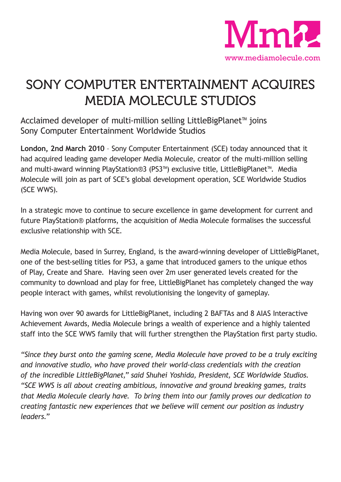

## SONY COMPUTER ENTERTAINMENT ACQUIRES MEDIA MOLECULE STUDIOS

Acclaimed developer of multi-million selling LittleBigPlanet™ joins Sony Computer Entertainment Worldwide Studios

**London, 2nd March 2010** – Sony Computer Entertainment (SCE) today announced that it had acquired leading game developer Media Molecule, creator of the multi-million selling and multi-award winning PlayStation®3 (PS3™) exclusive title, LittleBigPlanet™. Media Molecule will join as part of SCE's global development operation, SCE Worldwide Studios (SCE WWS).

In a strategic move to continue to secure excellence in game development for current and future PlayStation® platforms, the acquisition of Media Molecule formalises the successful exclusive relationship with SCE.

Media Molecule, based in Surrey, England, is the award-winning developer of LittleBigPlanet, one of the best-selling titles for PS3, a game that introduced gamers to the unique ethos of Play, Create and Share. Having seen over 2m user generated levels created for the community to download and play for free, LittleBigPlanet has completely changed the way people interact with games, whilst revolutionising the longevity of gameplay.

Having won over 90 awards for LittleBigPlanet, including 2 BAFTAs and 8 AIAS Interactive Achievement Awards, Media Molecule brings a wealth of experience and a highly talented staff into the SCE WWS family that will further strengthen the PlayStation first party studio.

*"Since they burst onto the gaming scene, Media Molecule have proved to be a truly exciting and innovative studio, who have proved their world-class credentials with the creation of the incredible LittleBigPlanet," said Shuhei Yoshida, President, SCE Worldwide Studios. "SCE WWS is all about creating ambitious, innovative and ground breaking games, traits that Media Molecule clearly have. To bring them into our family proves our dedication to creating fantastic new experiences that we believe will cement our position as industry leaders."*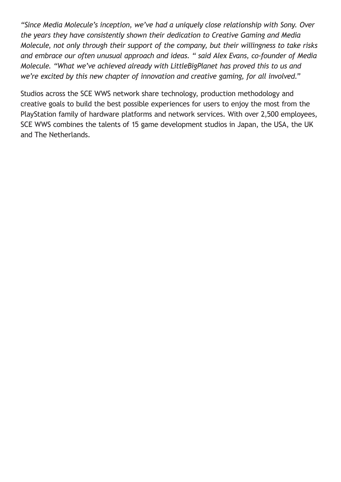*"Since Media Molecule's inception, we've had a uniquely close relationship with Sony. Over the years they have consistently shown their dedication to Creative Gaming and Media Molecule, not only through their support of the company, but their willingness to take risks and embrace our often unusual approach and ideas. " said Alex Evans, co-founder of Media Molecule. "What we've achieved already with LittleBigPlanet has proved this to us and we're excited by this new chapter of innovation and creative gaming, for all involved."*

Studios across the SCE WWS network share technology, production methodology and creative goals to build the best possible experiences for users to enjoy the most from the PlayStation family of hardware platforms and network services. With over 2,500 employees, SCE WWS combines the talents of 15 game development studios in Japan, the USA, the UK and The Netherlands.